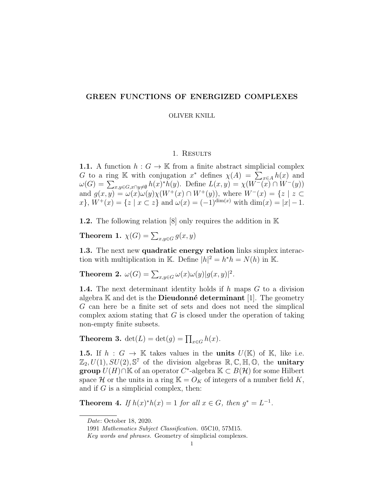# GREEN FUNCTIONS OF ENERGIZED COMPLEXES

#### OLIVER KNILL

## 1. RESULTS

1.1. A function  $h: G \to \mathbb{K}$  from a finite abstract simplicial complex G to a ring K with conjugation  $x^*$  defines  $\chi(A) = \sum_{x \in A} h(x)$  and  $\omega(G) = \sum_{x,y \in G, x \cap y \neq \emptyset} h(x)^* h(y)$ . Define  $L(x,y) = \chi(W^-(x) \cap W^-(y))$ and  $g(x, y) = \omega(x)\omega(y)\chi(W^+(x) \cap W^+(y))$ , where  $W^-(x) = \{z \mid z \in \mathbb{R}^n\}$  $x\}$ ,  $W^+(x) = \{z \mid x \subset z\}$  and  $\omega(x) = (-1)^{\dim(x)}$  with  $\dim(x) = |x| - 1$ .

1.2. The following relation [8] only requires the addition in K

**Theorem 1.**  $\chi(G) = \sum_{x,y \in G} g(x,y)$ 

1.3. The next new quadratic energy relation links simplex interaction with multiplication in K. Define  $|h|^2 = h^*h = N(h)$  in K.

**Theorem 2.**  $\omega(G) = \sum_{x,y \in G} \omega(x)\omega(y)|g(x,y)|^2$ .

**1.4.** The next determinant identity holds if  $h$  maps  $G$  to a division algebra  $\mathbb K$  and det is the **Dieudonné determinant** [1]. The geometry G can here be a finite set of sets and does not need the simplical complex axiom stating that  $G$  is closed under the operation of taking non-empty finite subsets.

**Theorem 3.**  $det(L) = det(g) = \prod_{x \in G} h(x)$ .

1.5. If  $h : G \to \mathbb{K}$  takes values in the units  $U(\mathbb{K})$  of  $\mathbb{K}$ , like i.e.  $\mathbb{Z}_2, U(1), SU(2), \mathbb{S}^7$  of the division algebras  $\mathbb{R}, \mathbb{C}, \mathbb{H}, \mathbb{O},$  the **unitary group**  $\widehat{U}(H) \cap \mathbb{K}$  of an operator  $C^*$ -algebra  $\mathbb{K} \subset B(\mathcal{H})$  for some Hilbert space H or the units in a ring  $\mathbb{K} = \mathcal{O}_K$  of integers of a number field K, and if  $G$  is a simplicial complex, then:

**Theorem 4.** If  $h(x)^*h(x) = 1$  for all  $x \in G$ , then  $g^* = L^{-1}$ .

Date: October 18, 2020.

<sup>1991</sup> Mathematics Subject Classification. 05C10, 57M15.

Key words and phrases. Geometry of simplicial complexes.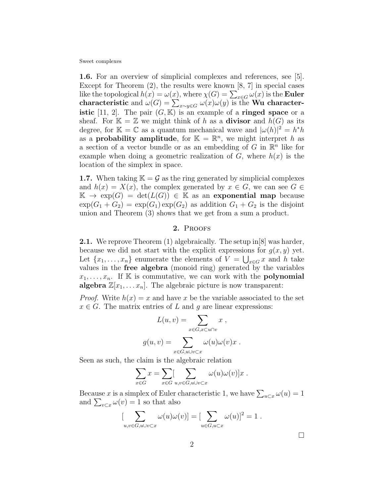1.6. For an overview of simplicial complexes and references, see [5]. Except for Theorem (2), the results were known [8, 7] in special cases like the topological  $h(x) = \omega(x)$ , where  $\chi(G) = \sum_{x \in G} \omega(x)$  is the **Euler** characteristic and  $\omega(G) = \sum_{x \sim y \in G} \omega(x) \omega(y)$  is the Wu characteristic [11, 2]. The pair  $(G, K)$  is an example of a **ringed space** or a sheaf. For  $\mathbb{K} = \mathbb{Z}$  we might think of h as a **divisor** and  $h(G)$  as its degree, for  $\mathbb{K} = \mathbb{C}$  as a quantum mechanical wave and  $|\omega(h)|^2 = h^*h$ as a **probability amplitude**, for  $\mathbb{K} = \mathbb{R}^n$ , we might interpret h as a section of a vector bundle or as an embedding of  $G$  in  $\mathbb{R}^n$  like for example when doing a geometric realization of  $G$ , where  $h(x)$  is the location of the simplex in space.

**1.7.** When taking  $K = \mathcal{G}$  as the ring generated by simplicial complexes and  $h(x) = X(x)$ , the complex generated by  $x \in G$ , we can see  $G \in$  $\mathbb{K} \to \exp(G) = \det(L(G)) \in \mathbb{K}$  as an exponential map because  $\exp(G_1 + G_2) = \exp(G_1) \exp(G_2)$  as addition  $G_1 + G_2$  is the disjoint union and Theorem (3) shows that we get from a sum a product.

### 2. PROOFS

2.1. We reprove Theorem (1) algebraically. The setup in[8] was harder, because we did not start with the explicit expressions for  $g(x, y)$  yet. Let  $\{x_1, \ldots, x_n\}$  enumerate the elements of  $V = \bigcup_{x \in G} x$  and h take values in the free algebra (monoid ring) generated by the variables  $x_1, \ldots, x_n$ . If K is commutative, we can work with the **polynomial algebra**  $\mathbb{Z}[x_1, \ldots, x_n]$ . The algebraic picture is now transparent:

*Proof.* Write  $h(x) = x$  and have x be the variable associated to the set  $x \in G$ . The matrix entries of L and q are linear expressions:

$$
L(u, v) = \sum_{x \in G, x \subset u \cap v} x ,
$$

$$
g(u, v) = \sum_{x \in G, u \cup v \subset x} \omega(u) \omega(v) x .
$$

Seen as such, the claim is the algebraic relation

$$
\sum_{x \in G} x = \sum_{x \in G} [\sum_{u,v \in G, u \cup v \subset x} \omega(u)\omega(v)]x.
$$

Because x is a simplex of Euler characteristic 1, we have  $\sum_{u\subset x}\omega(u)=1$ and  $\sum_{v \subset x} \omega(v) = 1$  so that also

$$
\left[\sum_{u,v\in G,u\cup v\subset x}\omega(u)\omega(v)\right]=\left[\sum_{u\in G,u\subset x}\omega(u)\right]^2=1.
$$

 $\Box$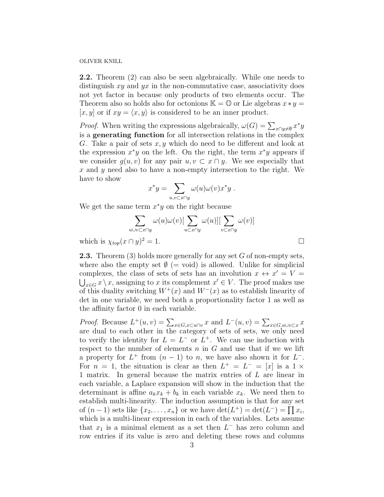2.2. Theorem (2) can also be seen algebraically. While one needs to distinguish  $xy$  and  $yx$  in the non-commutative case, associativity does not yet factor in because only products of two elements occur. The Theorem also so holds also for octonions  $\mathbb{K} = \mathbb{O}$  or Lie algebras  $x * y =$  $[x, y]$  or if  $xy = \langle x, y \rangle$  is considered to be an inner product.

*Proof.* When writing the expressions algebraically,  $\omega(G) = \sum_{x \cap y \neq \emptyset} x^*y$ is a generating function for all intersection relations in the complex G. Take a pair of sets  $x, y$  which do need to be different and look at the expression  $x^*y$  on the left. On the right, the term  $x^*y$  appears if we consider  $q(u, v)$  for any pair  $u, v \subset x \cap y$ . We see especially that x and  $\gamma$  need also to have a non-empty intersection to the right. We have to show

$$
x^*y = \sum_{u,v \subset x \cap y} \omega(u)\omega(v)x^*y.
$$

We get the same term  $x^*y$  on the right because

$$
\sum_{u \cup v \subset x \cap y} \omega(u)\omega(v) \left[\sum_{u \subset x \cap y} \omega(u)\right] \left[\sum_{v \subset x \cap y} \omega(v)\right]
$$
  

$$
(x \cap y)^2 = 1.
$$

which is  $\chi_{top}(x \cap y)^2 = 1$ .

**2.3.** Theorem (3) holds more generally for any set G of non-empty sets, where also the empty set  $\emptyset$  (= void) is allowed. Unlike for simplicial complexes, the class of sets of sets has an involution  $x \leftrightarrow x' = V =$  $\bigcup_{x \in G} x \setminus x$ , assigning to x its complement  $x' \in V$ . The proof makes use of this duality switching  $W^+(x)$  and  $W^-(x)$  as to establish linearity of det in one variable, we need both a proportionality factor 1 as well as the affinity factor 0 in each variable.

*Proof.* Because  $L^+(u,v) = \sum_{x \in G, x \subset u \cap v} x$  and  $L^-(u,v) = \sum_{x \in G, u \cup v \subset x} x$ are dual to each other in the category of sets of sets, we only need to verify the identity for  $L = L^{-}$  or  $L^{+}$ . We can use induction with respect to the number of elements  $n$  in  $G$  and use that if we we lift a property for  $L^+$  from  $(n-1)$  to n, we have also shown it for  $L^-$ . For  $n = 1$ , the situation is clear as then  $L^+ = L^- = [x]$  is a 1 × 1 matrix. In general because the matrix entries of L are linear in each variable, a Laplace expansion will show in the induction that the determinant is affine  $a_kx_k + b_k$  in each variable  $x_k$ . We need then to establish multi-linearity. The induction assumption is that for any set of  $(n-1)$  sets like  $\{x_2, \ldots, x_n\}$  or we have  $\det(L^+) = \det(L^-) = \prod x_i$ , which is a multi-linear expression in each of the variables. Lets assume that  $x_1$  is a minimal element as a set then  $L^-$  has zero column and row entries if its value is zero and deleting these rows and columns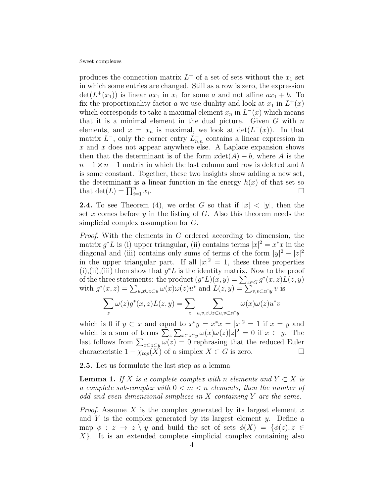produces the connection matrix  $L^+$  of a set of sets without the  $x_1$  set in which some entries are changed. Still as a row is zero, the expression  $\det(L^+(x_1))$  is linear  $ax_1$  in  $x_1$  for some a and not affine  $ax_1 + b$ . To fix the proportionality factor a we use duality and look at  $x_1$  in  $L^+(x)$ which corresponds to take a maximal element  $x_n$  in  $L^-(x)$  which means that it is a minimal element in the dual picture. Given  $G$  with  $n$ elements, and  $x = x_n$  is maximal, we look at  $\det(L^-(x))$ . In that matrix  $L^{-}$ , only the corner entry  $L^{-}_{n,n}$  contains a linear expression in x and x does not appear anywhere else. A Laplace expansion shows then that the determinant is of the form  $x\det(A) + b$ , where A is the  $n-1 \times n-1$  matrix in which the last column and row is deleted and b is some constant. Together, these two insights show adding a new set, the determinant is a linear function in the energy  $h(x)$  of that set so that  $\det(L) = \prod_{i=1}^n x_i$ .

**2.4.** To see Theorem (4), we order G so that if  $|x| < |y|$ , then the set  $x$  comes before  $y$  in the listing of  $G$ . Also this theorem needs the simplicial complex assumption for G.

*Proof.* With the elements in  $G$  ordered according to dimension, the matrix  $g^*L$  is (i) upper triangular, (ii) contains terms  $|x|^2 = x^*x$  in the diagonal and (iii) contains only sums of terms of the form  $|y|^2 - |z|^2$ in the upper triangular part. If all  $|x|^2 = 1$ , these three properties (i),(ii),(iii) then show that  $g^*L$  is the identity matrix. Now to the proof of the three statements: the product  $(g^*L)(x, y) = \sum_{z \in G} g^*(x, z)L(z, y)$ with  $g^*(x, z) = \sum_{u, x \cup z \subset u} \omega(x) \omega(z) u^*$  and  $L(z, y) = \sum_{v, v \subset z \cap y} v$  is

$$
\sum_{z} \omega(z) g^*(x, z) L(z, y) = \sum_{z} \sum_{u, v, x \cup z \subset u, v \subset z \cap y} \omega(x) \omega(z) u^* v
$$

which is 0 if  $y \subset x$  and equal to  $x^*y = x^*x = |x|^2 = 1$  if  $x = y$  and which is a sum of terms  $\sum_{z} \sum_{x \subset z \subset y} \omega(x) \omega(z) |z|^2 = 0$  if  $x \subset y$ . The last follows from  $\sum_{x\subset z\subset y}\omega(z)=0$  rephrasing that the reduced Euler characteristic  $1 - \chi_{top}(X)$  of a simplex  $X \subset G$  is zero.  $\Box$ 

2.5. Let us formulate the last step as a lemma

**Lemma 1.** If X is a complete complex with n elements and  $Y \subset X$  is a complete sub-complex with  $0 < m < n$  elements, then the number of odd and even dimensional simplices in  $X$  containing  $Y$  are the same.

*Proof.* Assume X is the complex generated by its largest element  $x$ and Y is the complex generated by its largest element  $y$ . Define a map  $\phi : z \to z \ y$  and build the set of sets  $\phi(X) = {\phi(z), z \in \mathbb{R}^2}$  $X$ . It is an extended complete simplicial complex containing also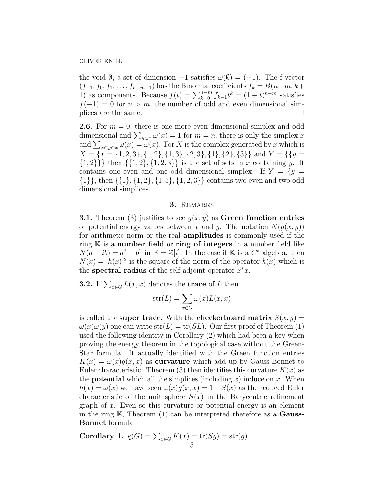the void  $\emptyset$ , a set of dimension  $-1$  satisfies  $\omega(\emptyset) = (-1)$ . The f-vector  $(f_{-1}, f_0, f_1, \ldots, f_{n-m-1})$  has the Binomial coefficients  $f_k = B(n-m, k+m)$ 1) as components. Because  $f(t) = \sum_{k=0}^{n-m} f_{k-1}t^k = (1+t)^{n-m}$  satisfies  $f(-1) = 0$  for  $n > m$ , the number of odd and even dimensional simplices are the same.  $\Box$ 

**2.6.** For  $m = 0$ , there is one more even dimensional simplex and odd dimensional and  $\sum_{y\subset x}\omega(x)=1$  for  $m=n$ , there is only the simplex x and  $\sum_{x\in y\subset x}\omega(x)=\omega(x)$ . For X is the complex generated by x which is  $X = \{x = \{1, 2, 3\}, \{1, 2\}, \{1, 3\}, \{2, 3\}, \{1\}, \{2\}, \{3\}\}\$ and  $Y = \{\{y =$  $\{1,2\}\}\$  then  $\{\{1,2\},\{1,2,3\}\}\$ is the set of sets in x containing y. It contains one even and one odd dimensional simplex. If  $Y = \{y =$  $\{1\}$ , then  $\{\{1\}, \{1, 2\}, \{1, 3\}, \{1, 2, 3\}\}\$  contains two even and two odd dimensional simplices.

### 3. Remarks

**3.1.** Theorem (3) justifies to see  $g(x, y)$  as Green function entries or potential energy values between x and y. The notation  $N(g(x, y))$ for arithmetic norm or the real amplitudes is commonly used if the ring  $K$  is a number field or ring of integers in a number field like  $N(a+ib) = a^2 + b^2$  in  $\mathbb{K} = \mathbb{Z}[i]$ . In the case if  $\mathbb{K}$  is a  $C^*$  algebra, then  $N(x) = |h(x)|^2$  is the square of the norm of the operator  $h(x)$  which is the spectral radius of the self-adjoint operator  $x^*x$ .

**3.2.** If  $\sum_{x \in G} L(x, x)$  denotes the **trace** of L then

$$
str(L) = \sum_{x \in G} \omega(x) L(x, x)
$$

is called the super trace. With the checkerboard matrix  $S(x, y) =$  $\omega(x)\omega(y)$  one can write  $str(L) = tr(SL)$ . Our first proof of Theorem (1) used the following identity in Corollary (2) which had been a key when proving the energy theorem in the topological case without the Green-Star formula. It actually identified with the Green function entries  $K(x) = \omega(x)g(x, x)$  as curvature which add up by Gauss-Bonnet to Euler characteristic. Theorem (3) then identifies this curvature  $K(x)$  as the **potential** which all the simplices (including x) induce on x. When  $h(x) = \omega(x)$  we have seen  $\omega(x)g(x, x) = 1 - S(x)$  as the reduced Euler characteristic of the unit sphere  $S(x)$  in the Barycentric refinement graph of  $x$ . Even so this curvature or potential energy is an element in the ring  $K$ , Theorem  $(1)$  can be interpreted therefore as a **Gauss-**Bonnet formula

Corollary 1. 
$$
\chi(G) = \sum_{x \in G} K(x) = \text{tr}(Sg) = \text{str}(g)
$$
.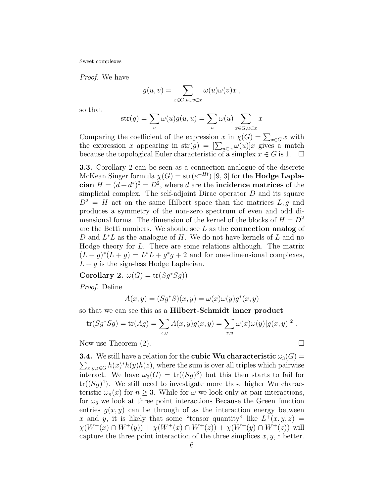Proof. We have

$$
g(u,v) = \sum_{x \in G, u \cup v \subset x} \omega(u)\omega(v)x,
$$

so that

$$
str(g) = \sum_{u} \omega(u)g(u, u) = \sum_{u} \omega(u) \sum_{x \in G, u \subset x} x
$$

Comparing the coefficient of the expression x in  $\chi(G) = \sum_{x \in G} x$  with the expression x appearing in  $str(g) = \left[\sum_{u \subset x} \omega(u)\right]$  gives a match because the topological Euler characteristic of a simplex  $x \in G$  is 1.  $\Box$ 

3.3. Corollary 2 can be seen as a connection analogue of the discrete McKean Singer formula  $\chi(G) = \text{str}(e^{-Ht})$  [9, 3] for the **Hodge Lapla**cian  $H = (d + d^*)^2 = D^2$ , where d are the incidence matrices of the simplicial complex. The self-adjoint Dirac operator  $D$  and its square  $D^2 = H$  act on the same Hilbert space than the matrices L, g and produces a symmetry of the non-zero spectrum of even and odd dimensional forms. The dimension of the kernel of the blocks of  $H = D<sup>2</sup>$ are the Betti numbers. We should see  $L$  as the **connection analog** of D and  $L^*L$  as the analogue of H. We do not have kernels of L and no Hodge theory for L. There are some relations although. The matrix  $(L+g)^*(L+g) = L^*L + g^*g + 2$  and for one-dimensional complexes,  $L + q$  is the sign-less Hodge Laplacian.

Corollary 2.  $\omega(G) = \text{tr}(Sg^*Sg)$ 

Proof. Define

$$
A(x,y) = (Sg^*S)(x,y) = \omega(x)\omega(y)g^*(x,y)
$$

so that we can see this as a Hilbert-Schmidt inner product

$$
\operatorname{tr}(Sg^*Sg) = \operatorname{tr}(Ag) = \sum_{x,y} A(x,y)g(x,y) = \sum_{x,y} \omega(x)\omega(y)|g(x,y)|^2.
$$

Now use Theorem  $(2)$ .

**3.4.** We still have a relation for the **cubic Wu characteristic**  $\omega_3(G)$  =  $\sum_{x,y,z\in G} h(x)^*h(y)h(z)$ , where the sum is over all triples which pairwise interact. We have  $\omega_3(G) = \text{tr}((Sg)^3)$  but this then starts to fail for  $tr((Sg)^4)$ . We still need to investigate more these higher Wu characteristic  $\omega_n(x)$  for  $n \geq 3$ . While for  $\omega$  we look only at pair interactions, for  $\omega_3$  we look at three point interactions Because the Green function entries  $g(x, y)$  can be through of as the interaction energy between x and y, it is likely that some "tensor quantity" like  $L^+(x, y, z) =$  $\chi(W^+(x) \cap W^+(y)) + \chi(W^+(x) \cap W^+(z)) + \chi(W^+(y) \cap W^+(z))$  will capture the three point interaction of the three simplices  $x, y, z$  better.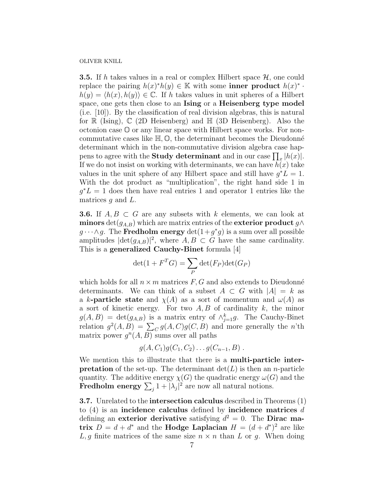**3.5.** If h takes values in a real or complex Hilbert space  $H$ , one could replace the pairing  $h(x)^*h(y) \in \mathbb{K}$  with some **inner product**  $h(x)^*$ .  $h(y) = \langle h(x), h(y) \rangle \in \mathbb{C}$ . If h takes values in unit spheres of a Hilbert space, one gets then close to an Ising or a Heisenberg type model (i.e. [10]). By the classification of real division algebras, this is natural for  $\mathbb R$  (Ising),  $\mathbb C$  (2D Heisenberg) and  $\mathbb H$  (3D Heisenberg). Also the octonion case O or any linear space with Hilbert space works. For noncommutative cases like  $\mathbb{H}, \mathbb{O}$ , the determinant becomes the Dieudonné determinant which in the non-commutative division algebra case happens to agree with the **Study determinant** and in our case  $\prod_{x} |h(x)|$ . If we do not insist on working with determinants, we can have  $h(x)$  take values in the unit sphere of any Hilbert space and still have  $g^*L = 1$ . With the dot product as "multiplication", the right hand side 1 in  $g^*L = 1$  does then have real entries 1 and operator 1 entries like the matrices  $g$  and  $L$ .

**3.6.** If  $A, B \subset G$  are any subsets with k elements, we can look at minors det( $g_{A,B}$ ) which are matrix entries of the exterior product  $g \wedge$  $g \cdots \wedge g$ . The Fredholm energy  $\det(1+g^*g)$  is a sum over all possible amplitudes  $|\text{det}(g_{A,B})|^2$ , where  $A, B \subset G$  have the same cardinality. This is a generalized Cauchy-Binet formula [4]

$$
\det(1 + F^T G) = \sum_P \det(F_P) \det(G_P)
$$

which holds for all  $n \times m$  matrices F, G and also extends to Dieudonné determinants. We can think of a subset  $A \subset G$  with  $|A| = k$  as a k-**particle state** and  $\chi(A)$  as a sort of momentum and  $\omega(A)$  as a sort of kinetic energy. For two  $A, B$  of cardinality k, the minor  $g(A, B) = \det(g_{A,B})$  is a matrix entry of  $\wedge_{j=1}^k g$ . The Cauchy-Binet relation  $g^2(A, B) = \sum_C g(A, C)g(C, B)$  and more generally the n'th matrix power  $g^n(A, B)$  sums over all paths

$$
g(A, C_1)g(C_1, C_2)...g(C_{n-1}, B)
$$
.

We mention this to illustrate that there is a multi-particle inter**pretation** of the set-up. The determinant  $\det(L)$  is then an *n*-particle quantity. The additive energy  $\chi(G)$  the quadratic energy  $\omega(G)$  and the Fredholm energy  $\sum_j 1 + |\lambda_j|^2$  are now all natural notions.

3.7. Unrelated to the intersection calculus described in Theorems (1) to  $(4)$  is an incidence calculus defined by incidence matrices d defining an exterior derivative satisfying  $d^2 = 0$ . The Dirac matrix  $D = d + d^*$  and the Hodge Laplacian  $H = (d + d^*)^2$  are like L, g finite matrices of the same size  $n \times n$  than L or g. When doing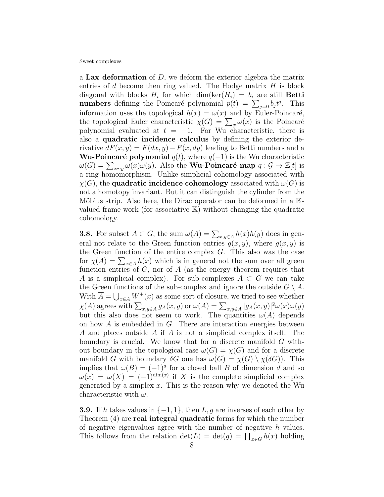a Lax deformation of  $D$ , we deform the exterior algebra the matrix entries of  $d$  become then ring valued. The Hodge matrix  $H$  is block diagonal with blocks  $H_i$  for which  $\dim(\ker(H_i)) = b_i$  are still **Betti numbers** defining the Poincaré polynomial  $p(t) = \sum_{j=0} b_j t^j$ . This information uses the topological  $h(x) = \omega(x)$  and by Euler-Poincaré, the topological Euler characteristic  $\chi(G) = \sum_x \omega(x)$  is the Poincaré polynomial evaluated at  $t = -1$ . For Wu characteristic, there is also a quadratic incidence calculus by defining the exterior derivative  $dF(x, y) = F(dx, y) - F(x, dy)$  leading to Betti numbers and a **Wu-Poincaré polynomial**  $q(t)$ , where  $q(-1)$  is the Wu characteristic  $\omega(G) = \sum_{x \sim y} \omega(x) \omega(y)$ . Also the **Wu-Poincaré map**  $q : \mathcal{G} \to \mathbb{Z}[t]$  is a ring homomorphism. Unlike simplicial cohomology associated with  $\chi(G)$ , the **quadratic incidence cohomology** associated with  $\omega(G)$  is not a homotopy invariant. But it can distinguish the cylinder from the Möbius strip. Also here, the Dirac operator can be deformed in a  $\mathbb{K}$ valued frame work (for associative  $K$ ) without changing the quadratic cohomology.

**3.8.** For subset  $A \subset G$ , the sum  $\omega(A) = \sum_{x,y \in A} h(x)h(y)$  does in general not relate to the Green function entries  $g(x, y)$ , where  $g(x, y)$  is the Green function of the entire complex G. This also was the case for  $\chi(A) = \sum_{x \in A} h(x)$  which is in general not the sum over all green function entries of  $G$ , nor of  $A$  (as the energy theorem requires that A is a simplicial complex). For sub-complexes  $A \subset G$  we can take the Green functions of the sub-complex and ignore the outside  $G \setminus A$ . With  $\overline{A} = \bigcup_{x \in A} W^+(x)$  as some sort of closure, we tried to see whether  $\chi(\overline{A})$  agrees with  $\sum_{x,y\in A} g_A(x,y)$  or  $\omega(\overline{A}) = \sum_{x,y\in A} |g_A(x,y)|^2 \omega(x)\omega(y)$ but this also does not seem to work. The quantities  $\omega(A)$  depends on how A is embedded in G. There are interaction energies between A and places outside A if A is not a simplicial complex itself. The boundary is crucial. We know that for a discrete manifold G without boundary in the topological case  $\omega(G) = \chi(G)$  and for a discrete manifold G with boundary  $\delta G$  one has  $\omega(G) = \chi(G) \setminus \chi(\delta G)$ . This implies that  $\omega(B) = (-1)^d$  for a closed ball B of dimension d and so  $\omega(x) = \omega(X) = (-1)^{\dim(x)}$  if X is the complete simplicial complex generated by a simplex  $x$ . This is the reason why we denoted the Wu characteristic with  $\omega$ .

**3.9.** If h takes values in  $\{-1, 1\}$ , then L, g are inverses of each other by Theorem (4) are **real integral quadratic** forms for which the number of negative eigenvalues agree with the number of negative h values. This follows from the relation  $\det(L) = \det(g) = \prod_{x \in G} h(x)$  holding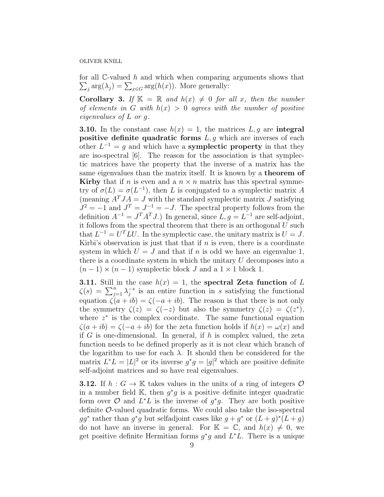for all  $\mathbb{C}\text{-valued } h$  and which when comparing arguments shows that  $\sum_j \arg(\lambda_j) = \sum_{x \in G} \arg(h(x))$ . More generally:

**Corollary 3.** If  $\mathbb{K} = \mathbb{R}$  and  $h(x) \neq 0$  for all x, then the number of elements in G with  $h(x) > 0$  agrees with the number of positive eigenvalues of L or g.

**3.10.** In the constant case  $h(x) = 1$ , the matrices L, g are integral positive definite quadratic forms  $L, g$  which are inverses of each other  $L^{-1} = g$  and which have a **symplectic property** in that they are iso-spectral [6]. The reason for the association is that symplectic matrices have the property that the inverse of a matrix has the same eigenvalues than the matrix itself. It is known by a theorem of **Kirby** that if n is even and a  $n \times n$  matrix has this spectral symmetry of  $\sigma(L) = \sigma(L^{-1})$ , then L is conjugated to a symplectic matrix A (meaning  $A^TJA = J$  with the standard symplectic matrix J satisfying  $J^2 = -1$  and  $J^T = J^{-1} = -J$ . The spectral property follows from the definition  $A^{-1} = J^T A^T J$ .) In general, since  $L, g = L^{-1}$  are self-adjoint, it follows from the spectral theorem that there is an orthogonal  $U$  such that  $L^{-1} = U^T L U$ . In the symplectic case, the unitary matrix is  $U = J$ . Kirbi's observation is just that that if  $n$  is even, there is a coordinate system in which  $U = J$  and that if n is odd we have an eigenvalue 1, there is a coordinate system in which the unitary  $U$  decomposes into a  $(n-1) \times (n-1)$  symplectic block J and a  $1 \times 1$  block 1.

**3.11.** Still in the case  $h(x) = 1$ , the spectral Zeta function of L  $\zeta(s) = \sum_{j=1}^n \lambda_j^{-s}$  $j<sup>s</sup>$  is an entire function in s satisfying the functional equation  $\zeta(a + ib) = \zeta(-a + ib)$ . The reason is that there is not only the symmetry  $\zeta(z) = \zeta(-z)$  but also the symmetry  $\zeta(z) = \zeta(z^*),$ where  $z^*$  is the complex coordinate. The same functional equation  $\zeta(a+ib) = \zeta(-a+ib)$  for the zeta function holds if  $h(x) = \omega(x)$  and if  $G$  is one-dimensional. In general, if  $h$  is complex valued, the zeta function needs to be defined properly as it is not clear which branch of the logarithm to use for each  $\lambda$ . It should then be considered for the matrix  $L^*L = |L|^2$  or its inverse  $g^*g = |g|^2$  which are positive definite self-adjoint matrices and so have real eigenvalues.

**3.12.** If  $h: G \to \mathbb{K}$  takes values in the units of a ring of integers  $\mathcal{O}$ in a number field K, then  $g^*g$  is a positive definite integer quadratic form over  $\mathcal{O}$  and  $L^*L$  is the inverse of  $g^*g$ . They are both positive definite  $\mathcal{O}\text{-}$ valued quadratic forms. We could also take the iso-spectral  $gg^*$  rather than  $g^*g$  but selfadjoint cases like  $g + g^*$  or  $(L + g)^*(L + g)$ do not have an inverse in general. For  $\mathbb{K} = \mathbb{C}$ , and  $h(x) \neq 0$ , we get positive definite Hermitian forms  $g^*g$  and  $L^*L$ . There is a unique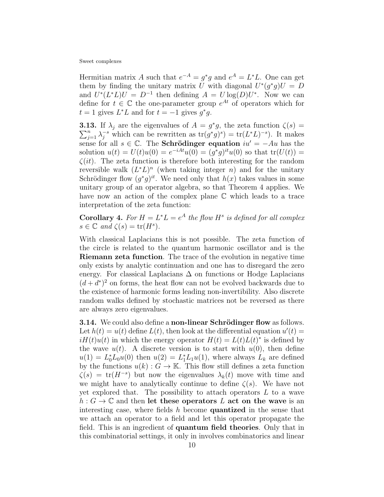Hermitian matrix A such that  $e^{-A} = g^*g$  and  $e^A = L^*L$ . One can get them by finding the unitary matrix U with diagonal  $U^*(g^*g)U = D$ and  $U^*(L^*L)U = D^{-1}$  then defining  $A = U \log(D)U^*$ . Now we can define for  $t \in \mathbb{C}$  the one-parameter group  $e^{At}$  of operators which for  $t = 1$  gives  $L^*L$  and for  $t = -1$  gives  $g^*g$ .

**3.13.** If  $\lambda_j$  are the eigenvalues of  $A = g^*$  $\sum$ **13.** If  $\lambda_j$  are the eigenvalues of  $A = g^*g$ , the zeta function  $\zeta(s) =$ <br> $\sum_{j=1}^n \lambda_j^{-s}$  which can be rewritten as  $\text{tr}(g^*g)^s) = \text{tr}(L^*L)^{-s}$ ). It makes sense for all  $s \in \mathbb{C}$ . The **Schrödinger equation**  $iu' = -Au$  has the solution  $u(t) = U(t)u(0) = e^{-iAt}u(0) = (g^*g)^{it}u(0)$  so that  $tr(U(t)) =$  $\zeta(it)$ . The zeta function is therefore both interesting for the random reversible walk  $(L^*L)^n$  (when taking integer n) and for the unitary Schrödinger flow  $(g^*g)^{it}$ . We need only that  $h(x)$  takes values in some unitary group of an operator algebra, so that Theorem 4 applies. We have now an action of the complex plane  $\mathbb C$  which leads to a trace interpretation of the zeta function:

**Corollary 4.** For  $H = L^*L = e^A$  the flow  $H^s$  is defined for all complex  $s \in \mathbb{C}$  and  $\zeta(s) = \text{tr}(H^s)$ .

With classical Laplacians this is not possible. The zeta function of the circle is related to the quantum harmonic oscillator and is the Riemann zeta function. The trace of the evolution in negative time only exists by analytic continuation and one has to disregard the zero energy. For classical Laplacians  $\Delta$  on functions or Hodge Laplacians  $(d + d^*)^2$  on forms, the heat flow can not be evolved backwards due to the existence of harmonic forms leading non-invertibility. Also discrete random walks defined by stochastic matrices not be reversed as there are always zero eigenvalues.

**3.14.** We could also define a **non-linear Schrödinger flow** as follows. Let  $h(t) = u(t)$  define  $L(t)$ , then look at the differential equation  $u'(t) =$  $iH(t)u(t)$  in which the energy operator  $H(t) = L(t)L(t)^*$  is defined by the wave  $u(t)$ . A discrete version is to start with  $u(0)$ , then define  $u(1) = L_0^* L_0 u(0)$  then  $u(2) = L_1^* L_1 u(1)$ , where always  $L_k$  are defined by the functions  $u(k): G \to \mathbb{K}$ . This flow still defines a zeta function  $\zeta(s) = \text{tr}(H^{-s})$  but now the eigenvalues  $\lambda_k(t)$  move with time and we might have to analytically continue to define  $\zeta(s)$ . We have not yet explored that. The possibility to attach operators  $L$  to a wave  $h: G \to \mathbb{C}$  and then let these operators L act on the wave is an interesting case, where fields  $h$  become **quantized** in the sense that we attach an operator to a field and let this operator propagate the field. This is an ingredient of quantum field theories. Only that in this combinatorial settings, it only in involves combinatorics and linear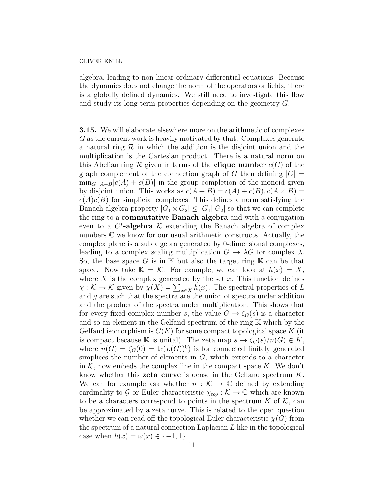algebra, leading to non-linear ordinary differential equations. Because the dynamics does not change the norm of the operators or fields, there is a globally defined dynamics. We still need to investigate this flow and study its long term properties depending on the geometry G.

3.15. We will elaborate elsewhere more on the arithmetic of complexes G as the current work is heavily motivated by that. Complexes generate a natural ring  $\mathcal R$  in which the addition is the disjoint union and the multiplication is the Cartesian product. There is a natural norm on this Abelian ring  $\mathcal R$  given in terms of the **clique number**  $c(G)$  of the graph complement of the connection graph of G then defining  $|G| =$  $\min_{G=A-B}|c(A) + c(B)|$  in the group completion of the monoid given by disjoint union. This works as  $c(A + B) = c(A) + c(B), c(A \times B) =$  $c(A)c(B)$  for simplicial complexes. This defines a norm satisfying the Banach algebra property  $|G_1 \times G_2| \leq |G_1||G_2|$  so that we can complete the ring to a commutative Banach algebra and with a conjugation even to a  $C^*$ -algebra  $K$  extending the Banach algebra of complex numbers C we know for our usual arithmetic constructs. Actually, the complex plane is a sub algebra generated by 0-dimensional complexes, leading to a complex scaling multiplication  $G \to \lambda G$  for complex  $\lambda$ . So, the base space G is in  $\mathbb K$  but also the target ring  $\mathbb K$  can be that space. Now take  $\mathbb{K} = \mathcal{K}$ . For example, we can look at  $h(x) = X$ , where  $X$  is the complex generated by the set  $x$ . This function defines  $\chi: \mathcal{K} \to \mathcal{K}$  given by  $\chi(X) = \sum_{x \in X} h(x)$ . The spectral properties of L and  $g$  are such that the spectra are the union of spectra under addition and the product of the spectra under multiplication. This shows that for every fixed complex number s, the value  $G \to \zeta_G(s)$  is a character and so an element in the Gelfand spectrum of the ring K which by the Gelfand isomorphism is  $C(K)$  for some compact topological space K (it is compact because K is unital). The zeta map  $s \to \zeta_G(s)/n(G) \in K$ , where  $n(G) = \zeta_G(0) = \text{tr}(L(G))^0$  is for connected finitely generated simplices the number of elements in  $G$ , which extends to a character in  $K$ , now embeds the complex line in the compact space K. We don't know whether this zeta curve is dense in the Gelfand spectrum K. We can for example ask whether  $n : \mathcal{K} \to \mathbb{C}$  defined by extending cardinality to G or Euler characteristic  $\chi_{top} : \mathcal{K} \to \mathbb{C}$  which are known to be a characters correspond to points in the spectrum  $K$  of  $K$ , can be approximated by a zeta curve. This is related to the open question whether we can read off the topological Euler characteristic  $\chi(G)$  from the spectrum of a natural connection Laplacian  $L$  like in the topological case when  $h(x) = \omega(x) \in \{-1, 1\}.$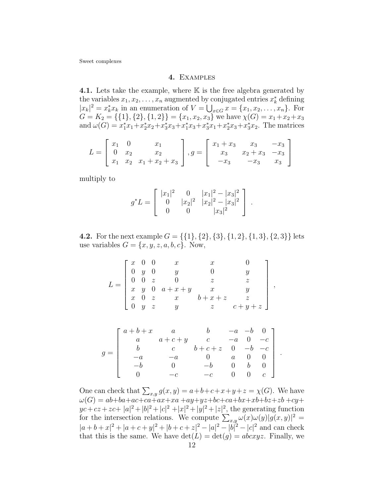# 4. Examples

4.1. Lets take the example, where  $K$  is the free algebra generated by the variables  $x_1, x_2, \ldots, x_n$  augmented by conjugated entries  $x_k^*$  defining  $|x_k|^2 = x_k^* x_k$  in an enumeration of  $V = \bigcup_{x \in G} x = \{x_1, x_2, \ldots, x_n\}$ . For  $G = K_2 = \{\{1\}, \{2\}, \{1, 2\}\} = \{x_1, x_2, x_3\}$  we have  $\chi(G) = x_1 + x_2 + x_3$ and  $\omega(G) = x_1^*x_1 + x_2^*x_2 + x_3^*x_3 + x_1^*x_3 + x_3^*x_1 + x_2^*x_3 + x_3^*x_2$ . The matrices

$$
L = \begin{bmatrix} x_1 & 0 & x_1 \\ 0 & x_2 & x_2 \\ x_1 & x_2 & x_1 + x_2 + x_3 \end{bmatrix}, g = \begin{bmatrix} x_1 + x_3 & x_3 & -x_3 \\ x_3 & x_2 + x_3 & -x_3 \\ -x_3 & -x_3 & x_3 \end{bmatrix}
$$

multiply to

$$
g^*L = \begin{bmatrix} |x_1|^2 & 0 & |x_1|^2 - |x_3|^2 \\ 0 & |x_2|^2 & |x_2|^2 - |x_3|^2 \\ 0 & 0 & |x_3|^2 \end{bmatrix}.
$$

**4.2.** For the next example  $G = \{\{1\}, \{2\}, \{3\}, \{1, 2\}, \{1, 3\}, \{2, 3\}\}\$ lets use variables  $G = \{x, y, z, a, b, c\}$ . Now,

$$
L = \begin{bmatrix} x & 0 & 0 & x & x & 0 \\ 0 & y & 0 & y & 0 & y \\ 0 & 0 & z & 0 & z & z \\ x & y & 0 & a+x+y & x & y \\ x & 0 & z & x & b+x+z & z \\ 0 & y & z & y & z & c+y+z \end{bmatrix}.
$$

,

.

$$
g = \begin{bmatrix} a+b+x & a & b & -a & -b & 0 \\ a & a+c+y & c & -a & 0 & -c \\ b & c & b+c+z & 0 & -b & -c \\ -a & -a & 0 & a & 0 & 0 \\ -b & 0 & -b & 0 & b & 0 \\ 0 & -c & -c & 0 & 0 & c \end{bmatrix}
$$

One can check that  $\sum_{x,y} g(x, y) = a+b+c+x+y+z = \chi(G)$ . We have  $\omega(G) = ab + ba + ac + ca + ax + xa + ay + yz + bc + ca + bx + xb + bz + zb + cy +$  $yc+cz+zc+|a|^2+|b|^2+|c|^2+|x|^2+|y|^2+|z|^2$ , the generating function for the intersection relations. We compute  $\sum_{x,y} \omega(x)\omega(y)|g(x,y)|^2 =$  $|a+b+x|^2+|a+c+y|^2+|b+c+z|^2-|a|^2-|b|^2-|c|^2$  and can check that this is the same. We have  $\det(L) = \det(g) = abcxyz$ . Finally, we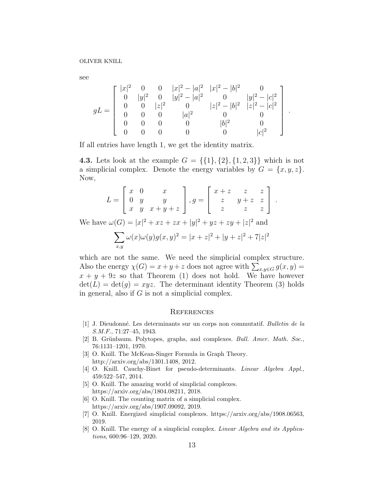see

$$
gL = \begin{bmatrix} |x|^2 & 0 & 0 & |x|^2 - |a|^2 & |x|^2 - |b|^2 & 0 \\ 0 & |y|^2 & 0 & |y|^2 - |a|^2 & 0 & |y|^2 - |c|^2 \\ 0 & 0 & |z|^2 & 0 & |z|^2 - |b|^2 & |z|^2 - |c|^2 \\ 0 & 0 & 0 & |a|^2 & 0 & 0 \\ 0 & 0 & 0 & 0 & |b|^2 & 0 \\ 0 & 0 & 0 & 0 & 0 & |c|^2 \end{bmatrix}.
$$

If all entries have length 1, we get the identity matrix.

**4.3.** Lets look at the example  $G = \{\{1\}, \{2\}, \{1, 2, 3\}\}\$  which is not a simplicial complex. Denote the energy variables by  $G = \{x, y, z\}.$ Now,

$$
L = \begin{bmatrix} x & 0 & x \\ 0 & y & y \\ x & y & x + y + z \end{bmatrix}, g = \begin{bmatrix} x+z & z & z \\ z & y+z & z \\ z & z & z \end{bmatrix}.
$$

We have  $\omega(G) = |x|^2 + xz + zx + |y|^2 + yz + zy + |z|^2$  and

$$
\sum_{x,y} \omega(x)\omega(y)g(x,y)^2 = |x+z|^2 + |y+z|^2 + 7|z|^2
$$

which are not the same. We need the simplicial complex structure. Also the energy  $\chi(G) = x + y + z$  does not agree with  $\sum_{x,y \in G} g(x,y) =$  $x + y + 9z$  so that Theorem (1) does not hold. We have however  $\det(L) = \det(g) = xyz$ . The determinant identity Theorem (3) holds in general, also if  $G$  is not a simplicial complex.

#### **REFERENCES**

- [1] J. Dieudonn´e. Les determinants sur un corps non commutatif. Bulletin de la S.M.F., 71:27–45, 1943.
- [2] B. Grünbaum. Polytopes, graphs, and complexes. *Bull. Amer. Math. Soc.*, 76:1131–1201, 1970.
- [3] O. Knill. The McKean-Singer Formula in Graph Theory. http://arxiv.org/abs/1301.1408, 2012.
- [4] O. Knill. Cauchy-Binet for pseudo-determinants. Linear Algebra Appl., 459:522–547, 2014.
- [5] O. Knill. The amazing world of simplicial complexes. https://arxiv.org/abs/1804.08211, 2018.
- [6] O. Knill. The counting matrix of a simplicial complex. https://arxiv.org/abs/1907.09092, 2019.
- [7] O. Knill. Energized simplicial complexes. https://arxiv.org/abs/1908.06563, 2019.
- [8] O. Knill. The energy of a simplicial complex. Linear Algebra and its Applications, 600:96–129, 2020.